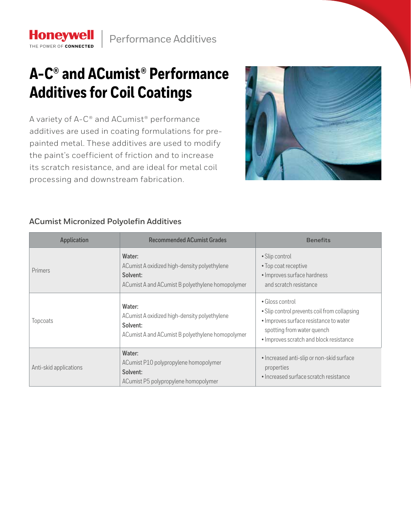## **A-C® and ACumist® Performance Additives for Coil Coatings**

**Honeywell** THE POWER OF CONNECTED

A variety of A-C® and ACumist® performance additives are used in coating formulations for prepainted metal. These additives are used to modify the paint's coefficient of friction and to increase its scratch resistance, and are ideal for metal coil processing and downstream fabrication.



## **ACumist Micronized Polyolefin Additives**

| <b>Application</b>     | <b>Recommended ACumist Grades</b>                                                                                      | <b>Benefits</b>                                                                                                                                                                    |
|------------------------|------------------------------------------------------------------------------------------------------------------------|------------------------------------------------------------------------------------------------------------------------------------------------------------------------------------|
| Primers                | Water:<br>ACumist A oxidized high-density polyethylene<br>Solvent:<br>ACumist A and ACumist B polyethylene homopolymer | • Slip control<br>• Top coat receptive<br>· Improves surface hardness<br>and scratch resistance                                                                                    |
| Topcoats               | Water:<br>ACumist A oxidized high-density polyethylene<br>Solvent:<br>ACumist A and ACumist B polyethylene homopolymer | • Gloss control<br>• Slip control prevents coil from collapsing<br>· Improves surface resistance to water<br>spotting from water quench<br>· Improves scratch and block resistance |
| Anti-skid applications | Water:<br>ACumist P10 polypropylene homopolymer<br>Solvent:<br>ACumist P5 polypropylene homopolymer                    | • Increased anti-slip or non-skid surface<br>properties<br>• Increased surface scratch resistance                                                                                  |